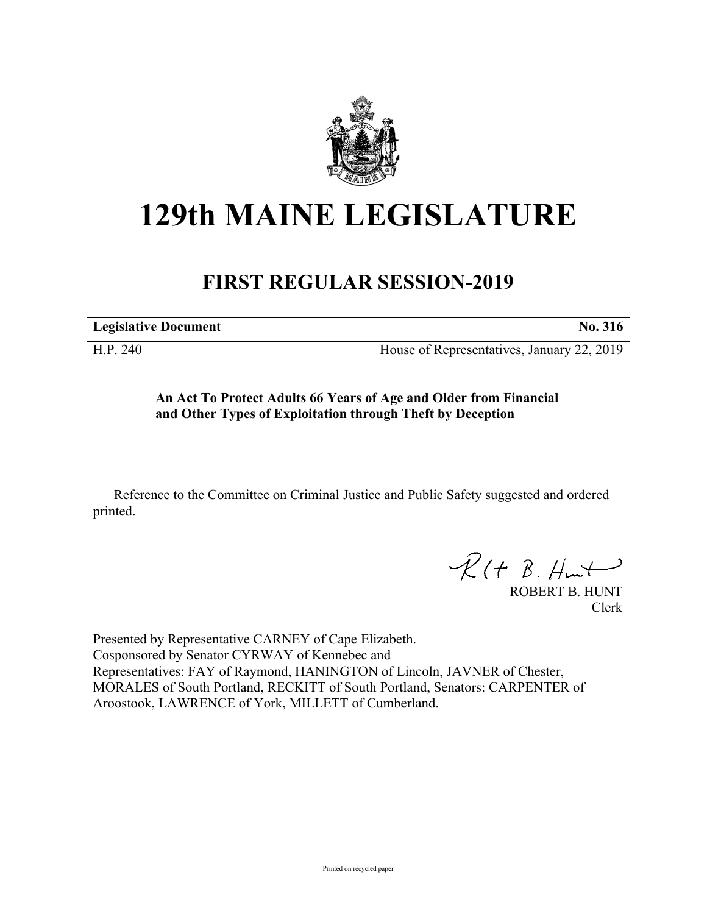

## **129th MAINE LEGISLATURE**

## **FIRST REGULAR SESSION-2019**

**Legislative Document No. 316**

H.P. 240 House of Representatives, January 22, 2019

**An Act To Protect Adults 66 Years of Age and Older from Financial and Other Types of Exploitation through Theft by Deception**

Reference to the Committee on Criminal Justice and Public Safety suggested and ordered printed.

 $\mathcal{R}(t \; \mathcal{B}, \mathcal{H}_{\mathsf{int}})$ 

ROBERT B. HUNT Clerk

Presented by Representative CARNEY of Cape Elizabeth. Cosponsored by Senator CYRWAY of Kennebec and Representatives: FAY of Raymond, HANINGTON of Lincoln, JAVNER of Chester, MORALES of South Portland, RECKITT of South Portland, Senators: CARPENTER of Aroostook, LAWRENCE of York, MILLETT of Cumberland.